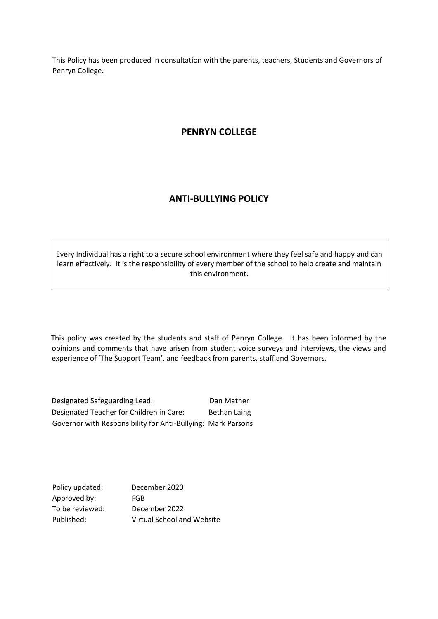This Policy has been produced in consultation with the parents, teachers, Students and Governors of Penryn College.

# **PENRYN COLLEGE**

## **ANTI-BULLYING POLICY**

Every Individual has a right to a secure school environment where they feel safe and happy and can learn effectively. It is the responsibility of every member of the school to help create and maintain this environment.

This policy was created by the students and staff of Penryn College. It has been informed by the opinions and comments that have arisen from student voice surveys and interviews, the views and experience of 'The Support Team', and feedback from parents, staff and Governors.

Designated Safeguarding Lead: Dan Mather Designated Teacher for Children in Care: Bethan Laing Governor with Responsibility for Anti-Bullying: Mark Parsons

Policy updated: December 2020 Approved by: FGB To be reviewed: December 2022 Published: Virtual School and Website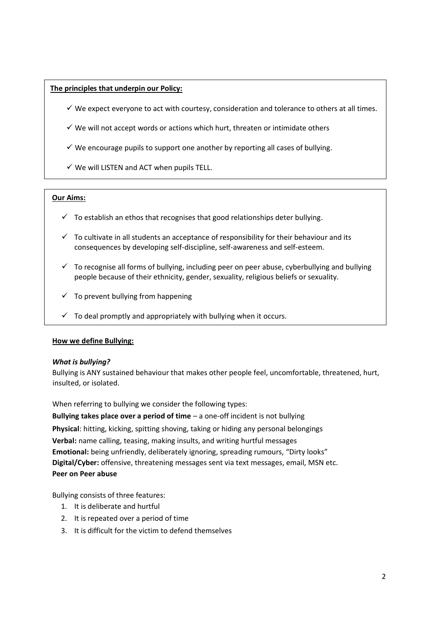## **The principles that underpin our Policy:**

- $\checkmark$  We expect everyone to act with courtesy, consideration and tolerance to others at all times.
- $\checkmark$  We will not accept words or actions which hurt, threaten or intimidate others
- $\checkmark$  We encourage pupils to support one another by reporting all cases of bullying.
- $\checkmark$  We will LISTEN and ACT when pupils TELL.

## **Our Aims:**

- $\checkmark$  To establish an ethos that recognises that good relationships deter bullying.
- $\checkmark$  To cultivate in all students an acceptance of responsibility for their behaviour and its consequences by developing self-discipline, self-awareness and self-esteem.
- $\checkmark$  To recognise all forms of bullying, including peer on peer abuse, cyberbullying and bullying people because of their ethnicity, gender, sexuality, religious beliefs or sexuality.
- $\checkmark$  To prevent bullying from happening
- $\checkmark$  To deal promptly and appropriately with bullying when it occurs.

## **How we define Bullying:**

## *What is bullying?*

Bullying is ANY sustained behaviour that makes other people feel, uncomfortable, threatened, hurt, insulted, or isolated.

When referring to bullying we consider the following types:

**Bullying takes place over a period of time** – a one-off incident is not bullying **Physical**: hitting, kicking, spitting shoving, taking or hiding any personal belongings **Verbal:** name calling, teasing, making insults, and writing hurtful messages **Emotional:** being unfriendly, deliberately ignoring, spreading rumours, "Dirty looks" **Digital/Cyber:** offensive, threatening messages sent via text messages, email, MSN etc. **Peer on Peer abuse**

Bullying consists of three features:

- 1. It is deliberate and hurtful
- 2. It is repeated over a period of time
- 3. It is difficult for the victim to defend themselves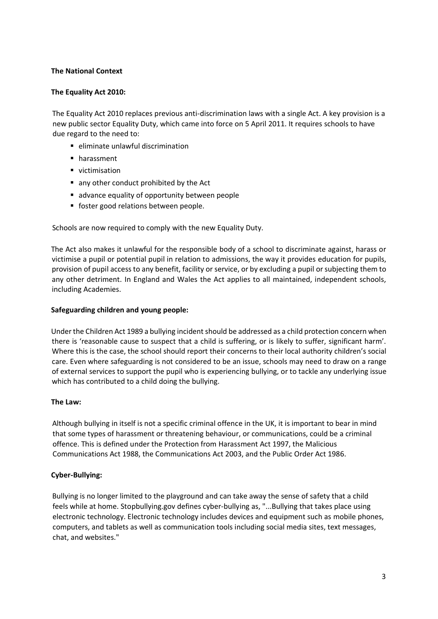## **The National Context**

## **The Equality Act 2010:**

The Equality Act 2010 replaces previous anti-discrimination laws with a single Act. A key provision is a new public sector Equality Duty, which came into force on 5 April 2011. It requires schools to have due regard to the need to:

- eliminate unlawful discrimination
- harassment
- victimisation
- any other conduct prohibited by the Act
- advance equality of opportunity between people
- foster good relations between people.

Schools are now required to comply with the new Equality Duty.

The Act also makes it unlawful for the responsible body of a school to discriminate against, harass or victimise a pupil or potential pupil in relation to admissions, the way it provides education for pupils, provision of pupil access to any benefit, facility or service, or by excluding a pupil or subjecting them to any other detriment. In England and Wales the Act applies to all maintained, independent schools, including Academies.

## **Safeguarding children and young people:**

Under the Children Act 1989 a bullying incident should be addressed as a child protection concern when there is 'reasonable cause to suspect that a child is suffering, or is likely to suffer, significant harm'. Where this is the case, the school should report their concerns to their local authority children's social care. Even where safeguarding is not considered to be an issue, schools may need to draw on a range of external services to support the pupil who is experiencing bullying, or to tackle any underlying issue which has contributed to a child doing the bullying.

## **The Law:**

Although bullying in itself is not a specific criminal offence in the UK, it is important to bear in mind that some types of harassment or threatening behaviour, or communications, could be a criminal offence. This is defined under the Protection from Harassment Act 1997, the Malicious Communications Act 1988, the Communications Act 2003, and the Public Order Act 1986.

## **Cyber-Bullying:**

Bullying is no longer limited to the playground and can take away the sense of safety that a child feels while at home. [Stopbullying.gov](http://www.stopbullying.gov/cyberbullying/what-is-it/index.html) [de](http://www.stopbullying.gov/cyberbullying/what-is-it/index.html)fines cyber-bullying as, "...Bullying that takes place using electronic technology. Electronic technology includes devices and equipment such as mobile phones, computers, and tablets as well as communication tools including social media sites, text messages, chat, and websites."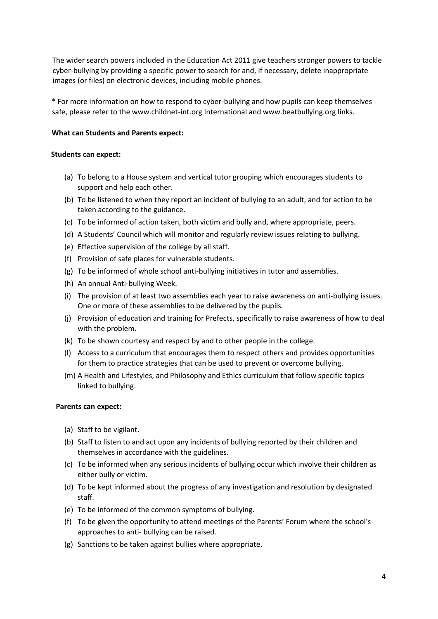The wider search powers included in the Education Act 2011 give teachers stronger powers to tackle cyber-bullying by providing a specific power to search for and, if necessary, delete inappropriate images (or files) on electronic devices, including mobile phones.

\* For more information on how to respond to cyber-bullying and how pupils can keep themselves safe, please refer to the www.childnet-int.org International and www.beatbullying.org links.

## **What can Students and Parents expect:**

## **Students can expect:**

- (a) To belong to a House system and vertical tutor grouping which encourages students to support and help each other.
- (b) To be listened to when they report an incident of bullying to an adult, and for action to be taken according to the guidance.
- (c) To be informed of action taken, both victim and bully and, where appropriate, peers.
- (d) A Students' Council which will monitor and regularly review issues relating to bullying.
- (e) Effective supervision of the college by all staff.
- (f) Provision of safe places for vulnerable students.
- (g) To be informed of whole school anti-bullying initiatives in tutor and assemblies.
- (h) An annual Anti-bullying Week.
- (i) The provision of at least two assemblies each year to raise awareness on anti-bullying issues. One or more of these assemblies to be delivered by the pupils.
- (j) Provision of education and training for Prefects, specifically to raise awareness of how to deal with the problem.
- (k) To be shown courtesy and respect by and to other people in the college.
- (l) Access to a curriculum that encourages them to respect others and provides opportunities for them to practice strategies that can be used to prevent or overcome bullying.
- (m) A Health and Lifestyles, and Philosophy and Ethics curriculum that follow specific topics linked to bullying.

## **Parents can expect:**

- (a) Staff to be vigilant.
- (b) Staff to listen to and act upon any incidents of bullying reported by their children and themselves in accordance with the guidelines.
- (c) To be informed when any serious incidents of bullying occur which involve their children as either bully or victim.
- (d) To be kept informed about the progress of any investigation and resolution by designated staff.
- (e) To be informed of the common symptoms of bullying.
- (f) To be given the opportunity to attend meetings of the Parents' Forum where the school's approaches to anti- bullying can be raised.
- (g) Sanctions to be taken against bullies where appropriate.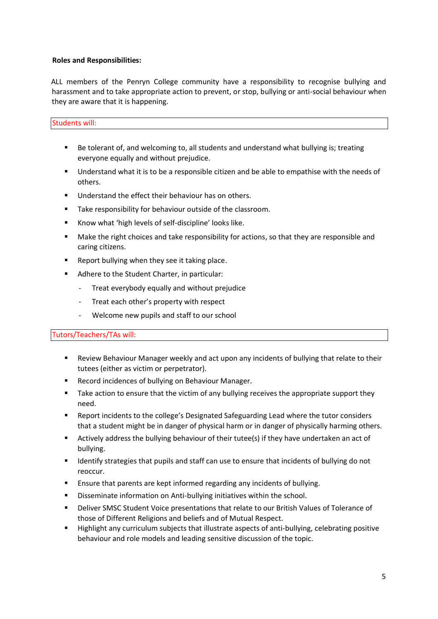## **Roles and Responsibilities:**

ALL members of the Penryn College community have a responsibility to recognise bullying and harassment and to take appropriate action to prevent, or stop, bullying or anti-social behaviour when they are aware that it is happening.

## Students will:

- Be tolerant of, and welcoming to, all students and understand what bullying is; treating everyone equally and without prejudice.
- **■** Understand what it is to be a responsible citizen and be able to empathise with the needs of others.
- Understand the effect their behaviour has on others.
- Take responsibility for behaviour outside of the classroom.
- Know what 'high levels of self-discipline' looks like.
- Make the right choices and take responsibility for actions, so that they are responsible and caring citizens.
- Report bullying when they see it taking place.
- Adhere to the Student Charter, in particular:
	- Treat everybody equally and without prejudice
	- Treat each other's property with respect
	- Welcome new pupils and staff to our school

## Tutors/Teachers/TAs will:

- Review Behaviour Manager weekly and act upon any incidents of bullying that relate to their tutees (either as victim or perpetrator).
- Record incidences of bullying on Behaviour Manager.
- Take action to ensure that the victim of any bullying receives the appropriate support they need.
- Report incidents to the college's Designated Safeguarding Lead where the tutor considers that a student might be in danger of physical harm or in danger of physically harming others.
- Actively address the bullying behaviour of their tutee(s) if they have undertaken an act of bullying.
- Identify strategies that pupils and staff can use to ensure that incidents of bullying do not reoccur.
- Ensure that parents are kept informed regarding any incidents of bullying.
- Disseminate information on Anti-bullying initiatives within the school.
- Deliver SMSC Student Voice presentations that relate to our British Values of Tolerance of those of Different Religions and beliefs and of Mutual Respect.
- Highlight any curriculum subjects that illustrate aspects of anti-bullying, celebrating positive behaviour and role models and leading sensitive discussion of the topic.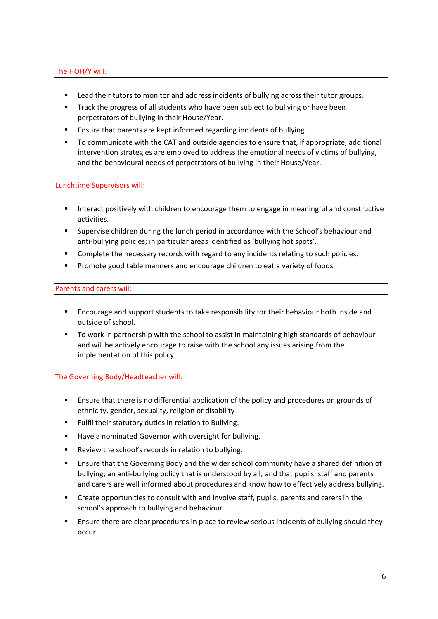## The HOH/Y will:

- Lead their tutors to monitor and address incidents of bullying across their tutor groups.
- **Track the progress of all students who have been subject to bullying or have been** perpetrators of bullying in their House/Year.
- Ensure that parents are kept informed regarding incidents of bullying.
- To communicate with the CAT and outside agencies to ensure that, if appropriate, additional intervention strategies are employed to address the emotional needs of victims of bullying, and the behavioural needs of perpetrators of bullying in their House/Year.

Lunchtime Supervisors will:

- Interact positively with children to encourage them to engage in meaningful and constructive activities.
- Supervise children during the lunch period in accordance with the School's behaviour and anti-bullying policies; in particular areas identified as 'bullying hot spots'.
- Complete the necessary records with regard to any incidents relating to such policies.
- Promote good table manners and encourage children to eat a variety of foods.

## Parents and carers will:

- Encourage and support students to take responsibility for their behaviour both inside and outside of school.
- To work in partnership with the school to assist in maintaining high standards of behaviour and will be actively encourage to raise with the school any issues arising from the implementation of this policy.

The Governing Body/Headteacher will:

- Ensure that there is no differential application of the policy and procedures on grounds of ethnicity, gender, sexuality, religion or disability
- Fulfil their statutory duties in relation to Bullying.
- Have a nominated Governor with oversight for bullying.
- Review the school's records in relation to bullying.
- Ensure that the Governing Body and the wider school community have a shared definition of bullying; an anti-bullying policy that is understood by all; and that pupils, staff and parents and carers are well informed about procedures and know how to effectively address bullying.
- Create opportunities to consult with and involve staff, pupils, parents and carers in the school's approach to bullying and behaviour.
- Ensure there are clear procedures in place to review serious incidents of bullying should they occur.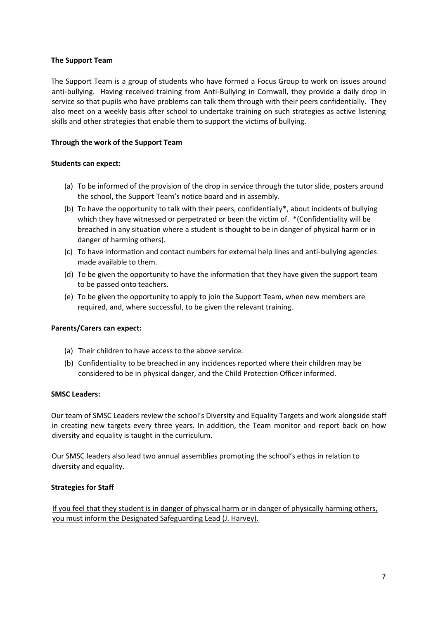## **The Support Team**

The Support Team is a group of students who have formed a Focus Group to work on issues around anti-bullying. Having received training from Anti-Bullying in Cornwall, they provide a daily drop in service so that pupils who have problems can talk them through with their peers confidentially. They also meet on a weekly basis after school to undertake training on such strategies as active listening skills and other strategies that enable them to support the victims of bullying.

## **Through the work of the Support Team**

## **Students can expect:**

- (a) To be informed of the provision of the drop in service through the tutor slide, posters around the school, the Support Team's notice board and in assembly.
- (b) To have the opportunity to talk with their peers, confidentially\*, about incidents of bullying which they have witnessed or perpetrated or been the victim of. \*(Confidentiality will be breached in any situation where a student is thought to be in danger of physical harm or in danger of harming others).
- (c) To have information and contact numbers for external help lines and anti-bullying agencies made available to them.
- (d) To be given the opportunity to have the information that they have given the support team to be passed onto teachers.
- (e) To be given the opportunity to apply to join the Support Team, when new members are required, and, where successful, to be given the relevant training.

## **Parents/Carers can expect:**

- (a) Their children to have access to the above service.
- (b) Confidentiality to be breached in any incidences reported where their children may be considered to be in physical danger, and the Child Protection Officer informed.

## **SMSC Leaders:**

Our team of SMSC Leaders review the school's Diversity and Equality Targets and work alongside staff in creating new targets every three years. In addition, the Team monitor and report back on how diversity and equality is taught in the curriculum.

Our SMSC leaders also lead two annual assemblies promoting the school's ethos in relation to diversity and equality.

## **Strategies for Staff**

If you feel that they student is in danger of physical harm or in danger of physically harming others, you must inform the Designated Safeguarding Lead (J. Harvey).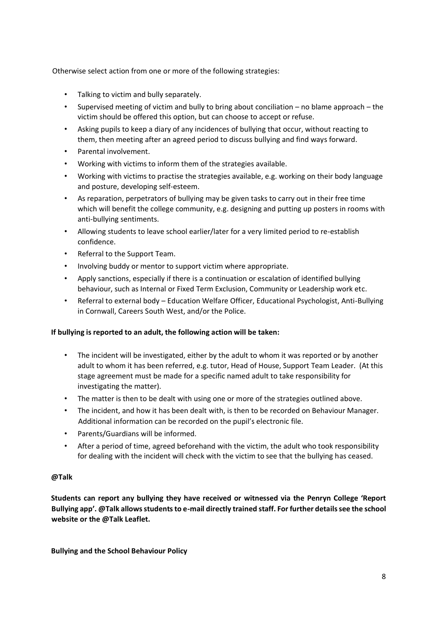Otherwise select action from one or more of the following strategies:

- Talking to victim and bully separately.
- Supervised meeting of victim and bully to bring about conciliation no blame approach the victim should be offered this option, but can choose to accept or refuse.
- Asking pupils to keep a diary of any incidences of bullying that occur, without reacting to them, then meeting after an agreed period to discuss bullying and find ways forward.
- Parental involvement.
- Working with victims to inform them of the strategies available.
- Working with victims to practise the strategies available, e.g. working on their body language and posture, developing self-esteem.
- As reparation, perpetrators of bullying may be given tasks to carry out in their free time which will benefit the college community, e.g. designing and putting up posters in rooms with anti-bullying sentiments.
- Allowing students to leave school earlier/later for a very limited period to re-establish confidence.
- Referral to the Support Team.
- Involving buddy or mentor to support victim where appropriate.
- Apply sanctions, especially if there is a continuation or escalation of identified bullying behaviour, such as Internal or Fixed Term Exclusion, Community or Leadership work etc.
- Referral to external body Education Welfare Officer, Educational Psychologist, Anti-Bullying in Cornwall, Careers South West, and/or the Police.

## **If bullying is reported to an adult, the following action will be taken:**

- The incident will be investigated, either by the adult to whom it was reported or by another adult to whom it has been referred, e.g. tutor, Head of House, Support Team Leader. (At this stage agreement must be made for a specific named adult to take responsibility for investigating the matter).
- The matter is then to be dealt with using one or more of the strategies outlined above.
- The incident, and how it has been dealt with, is then to be recorded on Behaviour Manager. Additional information can be recorded on the pupil's electronic file.
- Parents/Guardians will be informed.
- After a period of time, agreed beforehand with the victim, the adult who took responsibility for dealing with the incident will check with the victim to see that the bullying has ceased.

## **@Talk**

**Students can report any bullying they have received or witnessed via the Penryn College 'Report Bullying app'. @Talk allows students to e-mail directly trained staff. For further details see the school website or the @Talk Leaflet.** 

**Bullying and the School Behaviour Policy**